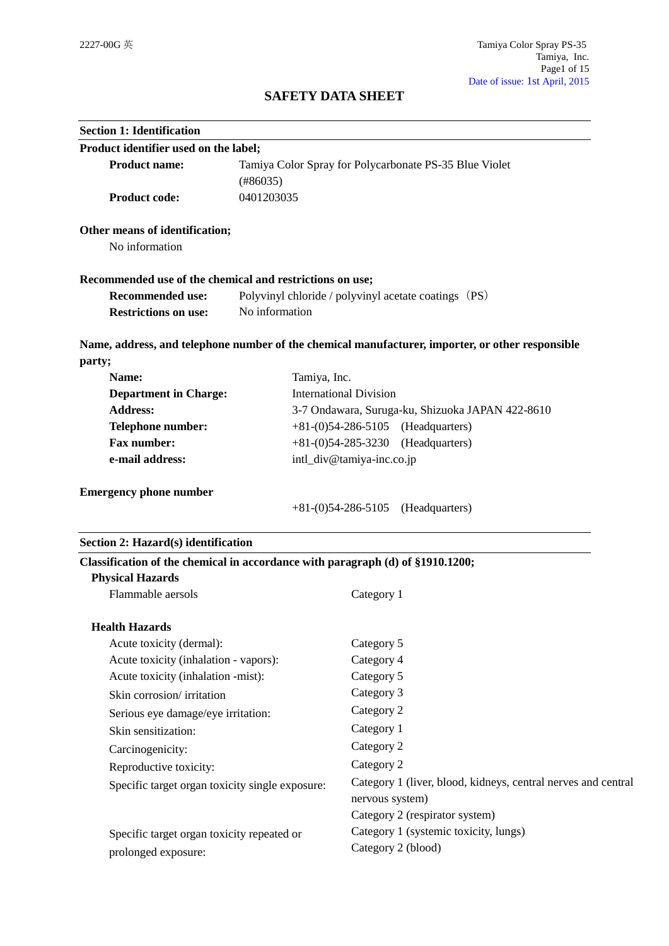# **SAFETY DATA SHEET**

| <b>Section 1: Identification</b>                                               |              |                                                                                                  |
|--------------------------------------------------------------------------------|--------------|--------------------------------------------------------------------------------------------------|
| Product identifier used on the label;                                          |              |                                                                                                  |
| <b>Product name:</b>                                                           |              | Tamiya Color Spray for Polycarbonate PS-35 Blue Violet                                           |
| (#86035)                                                                       |              |                                                                                                  |
| <b>Product code:</b>                                                           | 0401203035   |                                                                                                  |
| Other means of identification;                                                 |              |                                                                                                  |
| No information                                                                 |              |                                                                                                  |
| Recommended use of the chemical and restrictions on use;                       |              |                                                                                                  |
| <b>Recommended use:</b>                                                        |              | Polyvinyl chloride / polyvinyl acetate coatings (PS)                                             |
| No information<br><b>Restrictions on use:</b>                                  |              |                                                                                                  |
|                                                                                |              | Name, address, and telephone number of the chemical manufacturer, importer, or other responsible |
| party;                                                                         |              |                                                                                                  |
| Name:                                                                          | Tamiya, Inc. |                                                                                                  |
| <b>Department in Charge:</b>                                                   |              | <b>International Division</b>                                                                    |
| <b>Address:</b>                                                                |              | 3-7 Ondawara, Suruga-ku, Shizuoka JAPAN 422-8610                                                 |
| Telephone number:                                                              |              | $+81-(0)54-286-5105$ (Headquarters)                                                              |
| Fax number:                                                                    |              | $+81-(0)54-285-3230$<br>(Headquarters)                                                           |
| e-mail address:                                                                |              | intl_div@tamiya-inc.co.jp                                                                        |
| <b>Emergency phone number</b>                                                  |              |                                                                                                  |
|                                                                                |              | $+81-(0)54-286-5105$ (Headquarters)                                                              |
| Section 2: Hazard(s) identification                                            |              |                                                                                                  |
| Classification of the chemical in accordance with paragraph (d) of §1910.1200; |              |                                                                                                  |
| <b>Physical Hazards</b>                                                        |              |                                                                                                  |
| Flammable aersols                                                              |              | Category 1                                                                                       |
| <b>Health Hazards</b>                                                          |              |                                                                                                  |
| Acute toxicity (dermal):                                                       |              | Category 5                                                                                       |
| Acute toxicity (inhalation - vapors):                                          |              | Category 4                                                                                       |
| Acute toxicity (inhalation -mist):                                             |              | Category 5                                                                                       |
| Skin corrosion/irritation                                                      |              | Category 3                                                                                       |
| Serious eye damage/eye irritation:                                             |              | Category 2                                                                                       |
| Skin sensitization:                                                            |              | Category 1                                                                                       |
| Carcinogenicity:                                                               |              | Category 2                                                                                       |
| Reproductive toxicity:                                                         |              | Category 2                                                                                       |
| Specific target organ toxicity single exposure:                                |              | Category 1 (liver, blood, kidneys, central nerves and central                                    |
|                                                                                |              | nervous system)                                                                                  |
|                                                                                |              | Category 2 (respirator system)                                                                   |
| Specific target organ toxicity repeated or                                     |              | Category 1 (systemic toxicity, lungs)                                                            |
| prolonged exposure:                                                            |              | Category 2 (blood)                                                                               |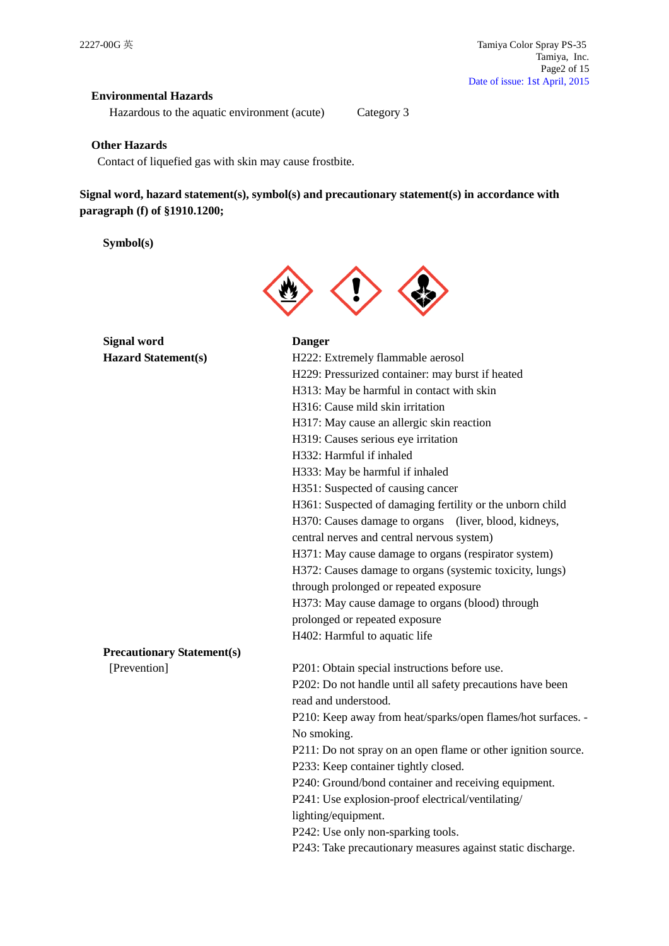## **Environmental Hazards**

Hazardous to the aquatic environment (acute) Category 3

### **Other Hazards**

Contact of liquefied gas with skin may cause frostbite.

**Signal word, hazard statement(s), symbol(s) and precautionary statement(s) in accordance with paragraph (f) of §1910.1200;**

**Symbol(s)**



H316: Cause mild skin irritation

H332: Harmful if inhaled

H319: Causes serious eye irritation

H333: May be harmful if inhaled H351: Suspected of causing cancer

H229: Pressurized container: may burst if heated H313: May be harmful in contact with skin

H317: May cause an allergic skin reaction

**Signal word Danger Hazard Statement(s)** H222: Extremely flammable aerosol

|                                   | H361: Suspected of damaging fertility or the unborn child    |
|-----------------------------------|--------------------------------------------------------------|
|                                   | H370: Causes damage to organs (liver, blood, kidneys,        |
|                                   | central nerves and central nervous system)                   |
|                                   | H371: May cause damage to organs (respirator system)         |
|                                   | H372: Causes damage to organs (systemic toxicity, lungs)     |
|                                   | through prolonged or repeated exposure                       |
|                                   | H373: May cause damage to organs (blood) through             |
|                                   | prolonged or repeated exposure                               |
|                                   | H402: Harmful to aquatic life                                |
| <b>Precautionary Statement(s)</b> |                                                              |
| [Prevention]                      | P201: Obtain special instructions before use.                |
|                                   | P202: Do not handle until all safety precautions have been   |
|                                   | read and understood.                                         |
|                                   | P210: Keep away from heat/sparks/open flames/hot surfaces. - |
|                                   | No smoking.                                                  |

P211: Do not spray on an open flame or other ignition source. P233: Keep container tightly closed.

P240: Ground/bond container and receiving equipment.

P241: Use explosion-proof electrical/ventilating/

lighting/equipment.

P242: Use only non-sparking tools.

P243: Take precautionary measures against static discharge.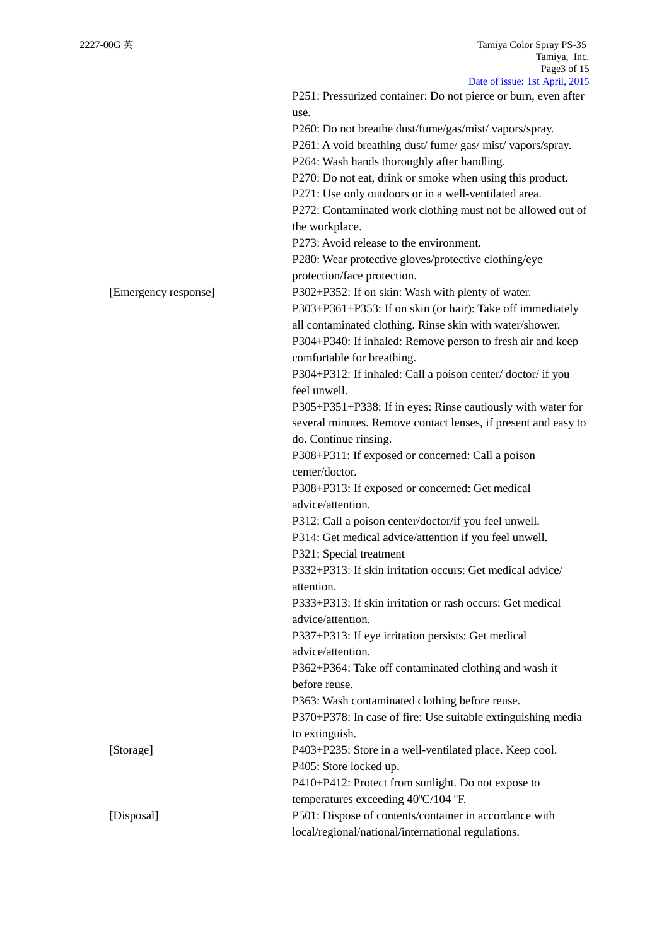|                      | Date of $1880^\circ$ . TSt April, $2013$                             |
|----------------------|----------------------------------------------------------------------|
|                      | P251: Pressurized container: Do not pierce or burn, even after       |
|                      | use.                                                                 |
|                      | P260: Do not breathe dust/fume/gas/mist/vapors/spray.                |
|                      | P261: A void breathing dust/fume/gas/mist/vapors/spray.              |
|                      | P264: Wash hands thoroughly after handling.                          |
|                      | P270: Do not eat, drink or smoke when using this product.            |
|                      | P271: Use only outdoors or in a well-ventilated area.                |
|                      | P272: Contaminated work clothing must not be allowed out of          |
|                      | the workplace.                                                       |
|                      | P273: Avoid release to the environment.                              |
|                      | P280: Wear protective gloves/protective clothing/eye                 |
|                      | protection/face protection.                                          |
| [Emergency response] | P302+P352: If on skin: Wash with plenty of water.                    |
|                      | P303+P361+P353: If on skin (or hair): Take off immediately           |
|                      | all contaminated clothing. Rinse skin with water/shower.             |
|                      | P304+P340: If inhaled: Remove person to fresh air and keep           |
|                      | comfortable for breathing.                                           |
|                      | P304+P312: If inhaled: Call a poison center/doctor/if you            |
|                      | feel unwell.                                                         |
|                      | P305+P351+P338: If in eyes: Rinse cautiously with water for          |
|                      | several minutes. Remove contact lenses, if present and easy to       |
|                      | do. Continue rinsing.                                                |
|                      | P308+P311: If exposed or concerned: Call a poison                    |
|                      | center/doctor.                                                       |
|                      |                                                                      |
|                      | P308+P313: If exposed or concerned: Get medical<br>advice/attention. |
|                      |                                                                      |
|                      | P312: Call a poison center/doctor/if you feel unwell.                |
|                      | P314: Get medical advice/attention if you feel unwell.               |
|                      | P321: Special treatment                                              |
|                      | P332+P313: If skin irritation occurs: Get medical advice/            |
|                      | attention.                                                           |
|                      | P333+P313: If skin irritation or rash occurs: Get medical            |
|                      | advice/attention.                                                    |
|                      | P337+P313: If eye irritation persists: Get medical                   |
|                      | advice/attention.                                                    |
|                      | P362+P364: Take off contaminated clothing and wash it                |
|                      | before reuse.                                                        |
|                      | P363: Wash contaminated clothing before reuse.                       |
|                      | P370+P378: In case of fire: Use suitable extinguishing media         |
|                      | to extinguish.                                                       |
| [Storage]            | P403+P235: Store in a well-ventilated place. Keep cool.              |
|                      | P405: Store locked up.                                               |
|                      | P410+P412: Protect from sunlight. Do not expose to                   |
|                      | temperatures exceeding 40°C/104 °F.                                  |
| [Disposal]           | P501: Dispose of contents/container in accordance with               |
|                      | local/regional/national/international regulations.                   |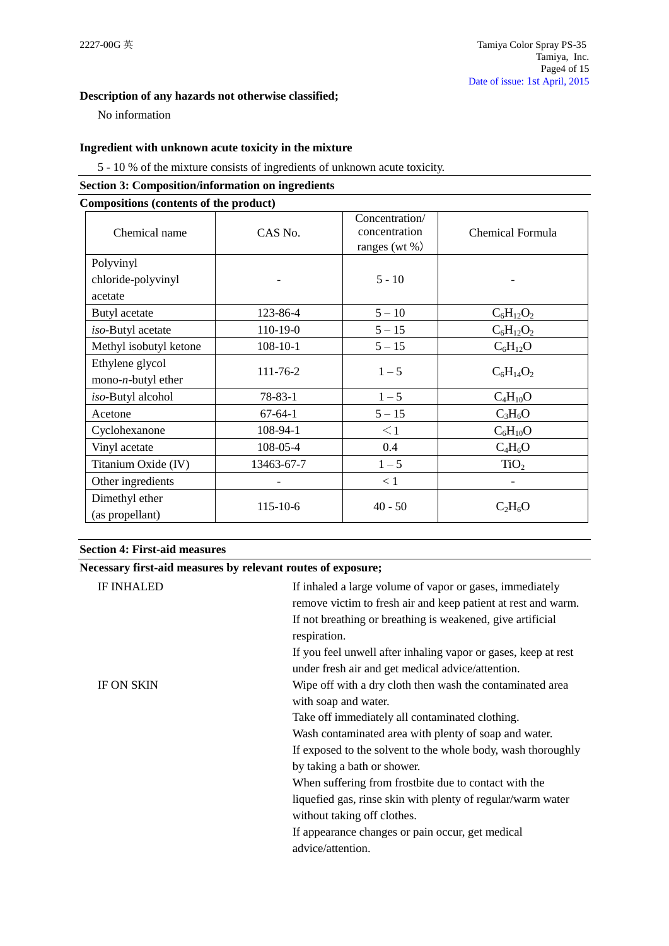## **Description of any hazards not otherwise classified;**

No information

## **Ingredient with unknown acute toxicity in the mixture**

5 - 10 % of the mixture consists of ingredients of unknown acute toxicity.

## **Section 3: Composition/information on ingredients**

### **Compositions (contents of the product)**

| Chemical name               | CAS No.        | Concentration/<br>concentration<br>ranges (wt $\%$ ) | Chemical Formula |
|-----------------------------|----------------|------------------------------------------------------|------------------|
| Polyvinyl                   |                |                                                      |                  |
| chloride-polyvinyl          |                | $5 - 10$                                             |                  |
| acetate                     |                |                                                      |                  |
| Butyl acetate               | 123-86-4       | $5 - 10$                                             | $C_6H_{12}O_2$   |
| iso-Butyl acetate           | 110-19-0       | $5 - 15$                                             | $C_6H_{12}O_2$   |
| Methyl isobutyl ketone      | $108 - 10 - 1$ | $5 - 15$                                             | $C_6H_{12}O$     |
| Ethylene glycol             | 111-76-2       | $1 - 5$                                              |                  |
| mono- <i>n</i> -butyl ether |                |                                                      | $C_6H_{14}O_2$   |
| iso-Butyl alcohol           | $78 - 83 - 1$  | $1 - 5$                                              | $C_4H_{10}O$     |
| Acetone                     | $67-64-1$      | $5 - 15$                                             | $C_3H_6O$        |
| Cyclohexanone               | 108-94-1       | $\leq$ 1                                             | $C_6H_{10}O$     |
| Vinyl acetate               | 108-05-4       | 0.4                                                  | $C_4H_6O$        |
| Titanium Oxide (IV)         | 13463-67-7     | $1 - 5$                                              | TiO <sub>2</sub> |
| Other ingredients           |                | < 1                                                  | -                |
| Dimethyl ether              |                | $40 - 50$                                            |                  |
| (as propellant)             | 115-10-6       |                                                      | $C_2H_6O$        |

### **Section 4: First-aid measures**

## **Necessary first-aid measures by relevant routes of exposure;**

| <b>IF ON SKIN</b><br>Wipe off with a dry cloth then wash the contaminated area<br>with soap and water.<br>Take off immediately all contaminated clothing.<br>Wash contaminated area with plenty of soap and water.<br>by taking a bath or shower.<br>When suffering from frostbite due to contact with the<br>liquefied gas, rinse skin with plenty of regular/warm water | <b>IF INHALED</b> | If inhaled a large volume of vapor or gases, immediately<br>remove victim to fresh air and keep patient at rest and warm.<br>If not breathing or breathing is weakened, give artificial<br>respiration.<br>If you feel unwell after inhaling vapor or gases, keep at rest<br>under fresh air and get medical advice/attention. |
|---------------------------------------------------------------------------------------------------------------------------------------------------------------------------------------------------------------------------------------------------------------------------------------------------------------------------------------------------------------------------|-------------------|--------------------------------------------------------------------------------------------------------------------------------------------------------------------------------------------------------------------------------------------------------------------------------------------------------------------------------|
| If appearance changes or pain occur, get medical<br>advice/attention.                                                                                                                                                                                                                                                                                                     |                   | If exposed to the solvent to the whole body, wash thoroughly<br>without taking off clothes.                                                                                                                                                                                                                                    |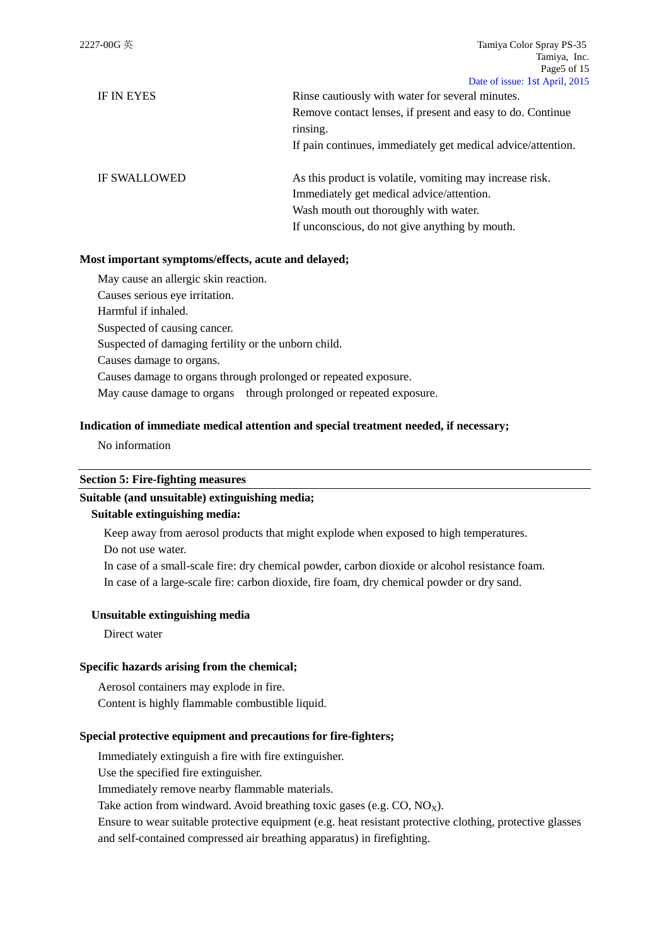| IF IN EYES          | Rinse cautiously with water for several minutes.             |
|---------------------|--------------------------------------------------------------|
|                     | Remove contact lenses, if present and easy to do. Continue   |
|                     | rinsing.                                                     |
|                     | If pain continues, immediately get medical advice/attention. |
| <b>IF SWALLOWED</b> | As this product is volatile, vomiting may increase risk.     |
|                     | Immediately get medical advice/attention.                    |
|                     | Wash mouth out thoroughly with water.                        |

If unconscious, do not give anything by mouth.

### **Most important symptoms/effects, acute and delayed;**

May cause an allergic skin reaction. Causes serious eye irritation. Harmful if inhaled. Suspected of causing cancer. Suspected of damaging fertility or the unborn child. Causes damage to organs. Causes damage to organs through prolonged or repeated exposure. May cause damage to organs through prolonged or repeated exposure.

### **Indication of immediate medical attention and special treatment needed, if necessary;**

No information

### **Section 5: Fire-fighting measures**

## **Suitable (and unsuitable) extinguishing media;**

### **Suitable extinguishing media:**

Keep away from aerosol products that might explode when exposed to high temperatures.

Do not use water.

In case of a small-scale fire: dry chemical powder, carbon dioxide or alcohol resistance foam.

In case of a large-scale fire: carbon dioxide, fire foam, dry chemical powder or dry sand.

### **Unsuitable extinguishing media**

Direct water

### **Specific hazards arising from the chemical;**

Aerosol containers may explode in fire. Content is highly flammable combustible liquid.

### **Special protective equipment and precautions for fire-fighters;**

Immediately extinguish a fire with fire extinguisher.

Use the specified fire extinguisher.

Immediately remove nearby flammable materials.

Take action from windward. Avoid breathing toxic gases (e.g.  $CO$ ,  $NO<sub>X</sub>$ ).

Ensure to wear suitable protective equipment (e.g. heat resistant protective clothing, protective glasses and self-contained compressed air breathing apparatus) in firefighting.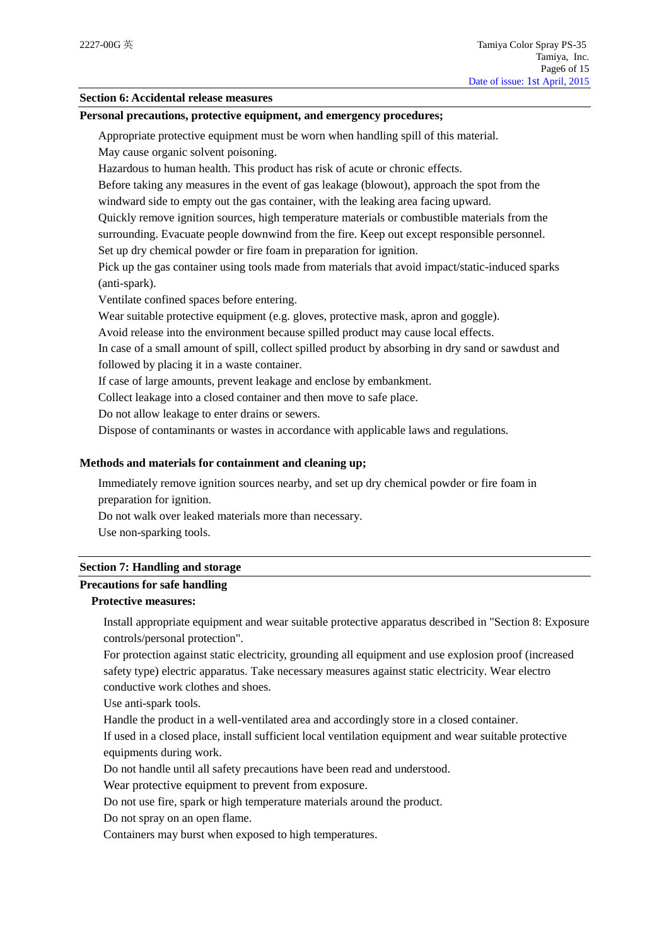### **Section 6: Accidental release measures**

### **Personal precautions, protective equipment, and emergency procedures;**

Appropriate protective equipment must be worn when handling spill of this material.

May cause organic solvent poisoning.

Hazardous to human health. This product has risk of acute or chronic effects.

Before taking any measures in the event of gas leakage (blowout), approach the spot from the windward side to empty out the gas container, with the leaking area facing upward.

Quickly remove ignition sources, high temperature materials or combustible materials from the surrounding. Evacuate people downwind from the fire. Keep out except responsible personnel.

Set up dry chemical powder or fire foam in preparation for ignition.

Pick up the gas container using tools made from materials that avoid impact/static-induced sparks (anti-spark).

Ventilate confined spaces before entering.

Wear suitable protective equipment (e.g. gloves, protective mask, apron and goggle).

Avoid release into the environment because spilled product may cause local effects.

In case of a small amount of spill, collect spilled product by absorbing in dry sand or sawdust and followed by placing it in a waste container.

If case of large amounts, prevent leakage and enclose by embankment.

Collect leakage into a closed container and then move to safe place.

Do not allow leakage to enter drains or sewers.

Dispose of contaminants or wastes in accordance with applicable laws and regulations.

### **Methods and materials for containment and cleaning up;**

Immediately remove ignition sources nearby, and set up dry chemical powder or fire foam in preparation for ignition.

Do not walk over leaked materials more than necessary.

Use non-sparking tools.

#### **Section 7: Handling and storage**

## **Precautions for safe handling**

## **Protective measures:**

Install appropriate equipment and wear suitable protective apparatus described in "Section 8: Exposure controls/personal protection".

For protection against static electricity, grounding all equipment and use explosion proof (increased safety type) electric apparatus. Take necessary measures against static electricity. Wear electro conductive work clothes and shoes.

Use anti-spark tools.

Handle the product in a well-ventilated area and accordingly store in a closed container.

If used in a closed place, install sufficient local ventilation equipment and wear suitable protective equipments during work.

Do not handle until all safety precautions have been read and understood.

Wear protective equipment to prevent from exposure.

Do not use fire, spark or high temperature materials around the product.

Do not spray on an open flame.

Containers may burst when exposed to high temperatures.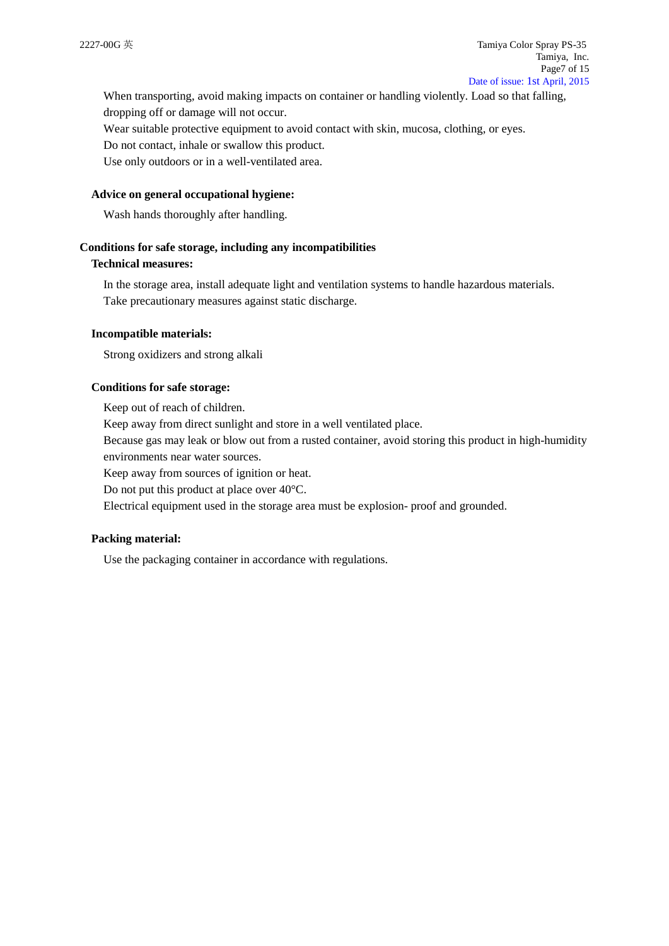When transporting, avoid making impacts on container or handling violently. Load so that falling, dropping off or damage will not occur.

Wear suitable protective equipment to avoid contact with skin, mucosa, clothing, or eyes.

Do not contact, inhale or swallow this product.

Use only outdoors or in a well-ventilated area.

### **Advice on general occupational hygiene:**

Wash hands thoroughly after handling.

#### **Conditions for safe storage, including any incompatibilities**

## **Technical measures:**

In the storage area, install adequate light and ventilation systems to handle hazardous materials. Take precautionary measures against static discharge.

#### **Incompatible materials:**

Strong oxidizers and strong alkali

#### **Conditions for safe storage:**

Keep out of reach of children.

Keep away from direct sunlight and store in a well ventilated place.

Because gas may leak or blow out from a rusted container, avoid storing this product in high-humidity environments near water sources.

Keep away from sources of ignition or heat.

Do not put this product at place over 40°C.

Electrical equipment used in the storage area must be explosion- proof and grounded.

### **Packing material:**

Use the packaging container in accordance with regulations.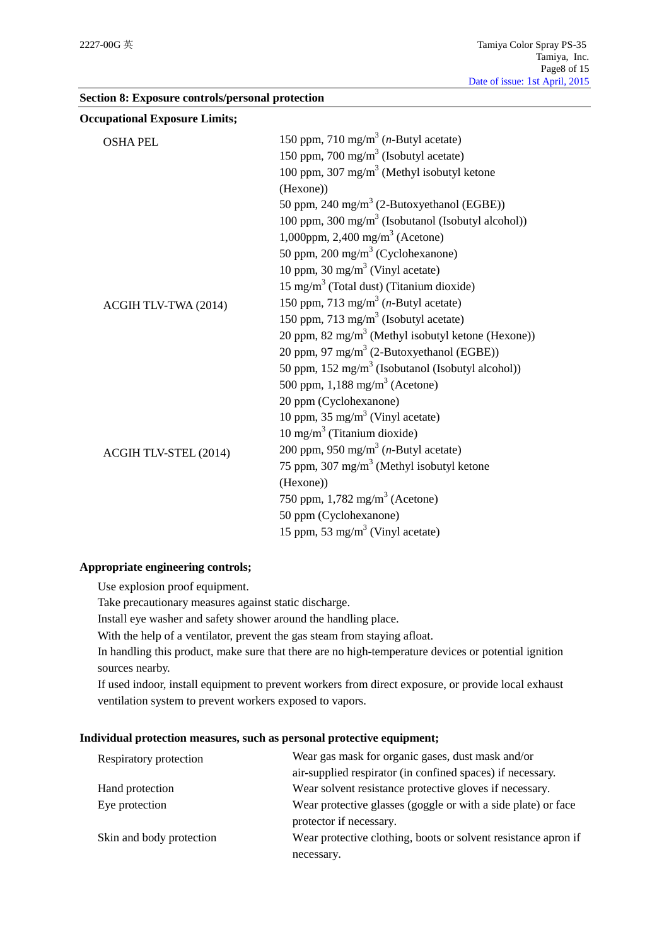| <b>Occupational Exposure Limits;</b> |                                                                |
|--------------------------------------|----------------------------------------------------------------|
| <b>OSHA PEL</b>                      | 150 ppm, 710 mg/m <sup>3</sup> ( <i>n</i> -Butyl acetate)      |
|                                      | 150 ppm, 700 mg/m <sup>3</sup> (Isobutyl acetate)              |
|                                      | 100 ppm, 307 mg/m <sup>3</sup> (Methyl isobutyl ketone         |
|                                      | (Hexone))                                                      |
|                                      | 50 ppm, 240 mg/m <sup>3</sup> (2-Butoxyethanol (EGBE))         |
|                                      | 100 ppm, 300 mg/m <sup>3</sup> (Isobutanol (Isobutyl alcohol)) |
|                                      | 1,000ppm, 2,400 mg/m <sup>3</sup> (Acetone)                    |
|                                      | 50 ppm, 200 mg/m <sup>3</sup> (Cyclohexanone)                  |
|                                      | 10 ppm, 30 mg/m <sup>3</sup> (Vinyl acetate)                   |
|                                      | $15 \text{ mg/m}^3$ (Total dust) (Titanium dioxide)            |
| ACGIH TLV-TWA (2014)                 | 150 ppm, 713 mg/m <sup>3</sup> ( <i>n</i> -Butyl acetate)      |
|                                      | 150 ppm, 713 mg/m <sup>3</sup> (Isobutyl acetate)              |
|                                      | 20 ppm, 82 mg/m <sup>3</sup> (Methyl isobutyl ketone (Hexone)) |
|                                      | 20 ppm, 97 mg/m <sup>3</sup> (2-Butoxyethanol (EGBE))          |
|                                      | 50 ppm, $152 \text{ mg/m}^3$ (Isobutanol (Isobutyl alcohol))   |
|                                      | 500 ppm, $1,188$ mg/m <sup>3</sup> (Acetone)                   |
|                                      | 20 ppm (Cyclohexanone)                                         |
|                                      | 10 ppm, 35 mg/m <sup>3</sup> (Vinyl acetate)                   |
|                                      | $10 \text{ mg/m}^3$ (Titanium dioxide)                         |
| ACGIH TLV-STEL (2014)                | 200 ppm, 950 mg/m <sup>3</sup> ( <i>n</i> -Butyl acetate)      |
|                                      | 75 ppm, 307 mg/m <sup>3</sup> (Methyl isobutyl ketone          |
|                                      | (Hexone))                                                      |
|                                      | 750 ppm, $1,782 \text{ mg/m}^3$ (Acetone)                      |
|                                      | 50 ppm (Cyclohexanone)                                         |
|                                      | 15 ppm, 53 mg/m <sup>3</sup> (Vinyl acetate)                   |

### **Section 8: Exposure controls/personal protection**

### **Appropriate engineering controls;**

Use explosion proof equipment.

Take precautionary measures against static discharge.

Install eye washer and safety shower around the handling place.

With the help of a ventilator, prevent the gas steam from staying afloat.

In handling this product, make sure that there are no high-temperature devices or potential ignition sources nearby.

If used indoor, install equipment to prevent workers from direct exposure, or provide local exhaust ventilation system to prevent workers exposed to vapors.

### **Individual protection measures, such as personal protective equipment;**

| Respiratory protection   | Wear gas mask for organic gases, dust mask and/or              |  |
|--------------------------|----------------------------------------------------------------|--|
|                          | air-supplied respirator (in confined spaces) if necessary.     |  |
| Hand protection          | Wear solvent resistance protective gloves if necessary.        |  |
| Eye protection           | Wear protective glasses (goggle or with a side plate) or face  |  |
|                          | protector if necessary.                                        |  |
| Skin and body protection | Wear protective clothing, boots or solvent resistance apron if |  |
|                          | necessary.                                                     |  |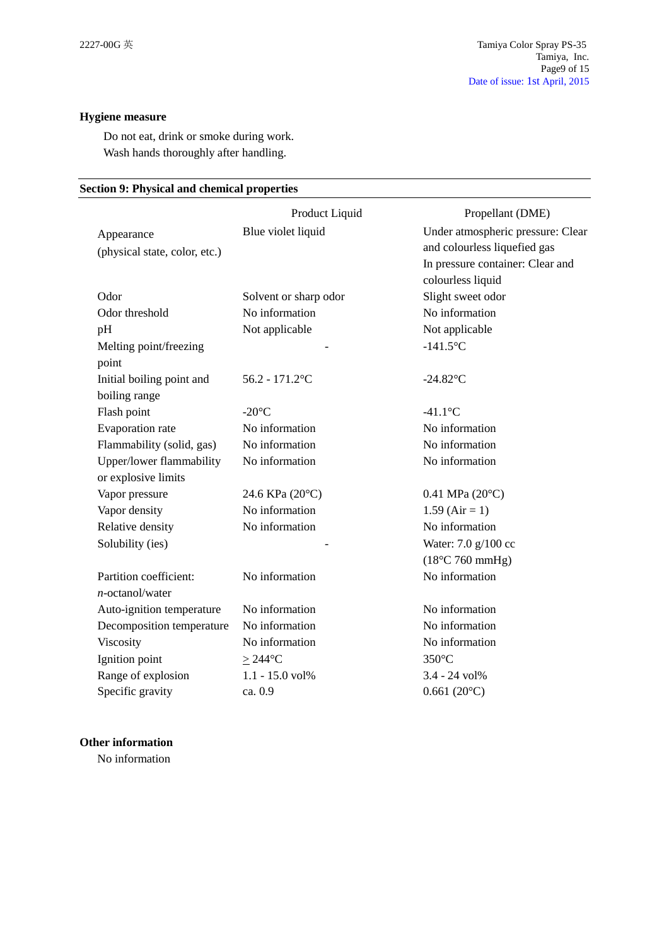## **Hygiene measure**

Do not eat, drink or smoke during work. Wash hands thoroughly after handling.

## **Section 9: Physical and chemical properties**

|                               | Product Liquid        | Propellant (DME)                  |
|-------------------------------|-----------------------|-----------------------------------|
| Appearance                    | Blue violet liquid    | Under atmospheric pressure: Clear |
| (physical state, color, etc.) |                       | and colourless liquefied gas      |
|                               |                       | In pressure container: Clear and  |
|                               |                       | colourless liquid                 |
| Odor                          | Solvent or sharp odor | Slight sweet odor                 |
| Odor threshold                | No information        | No information                    |
| pH                            | Not applicable        | Not applicable                    |
| Melting point/freezing        |                       | $-141.5$ °C                       |
| point                         |                       |                                   |
| Initial boiling point and     | $56.2 - 171.2$ °C     | $-24.82$ °C                       |
| boiling range                 |                       |                                   |
| Flash point                   | $-20^{\circ}$ C       | $-41.1$ °C                        |
| Evaporation rate              | No information        | No information                    |
| Flammability (solid, gas)     | No information        | No information                    |
| Upper/lower flammability      | No information        | No information                    |
| or explosive limits           |                       |                                   |
| Vapor pressure                | 24.6 KPa (20°C)       | $0.41$ MPa (20 $^{\circ}$ C)      |
| Vapor density                 | No information        | $1.59$ (Air = 1)                  |
| Relative density              | No information        | No information                    |
| Solubility (ies)              |                       | Water: 7.0 g/100 cc               |
|                               |                       | $(18^{\circ}C 760$ mmHg)          |
| Partition coefficient:        | No information        | No information                    |
| $n$ -octanol/water            |                       |                                   |
| Auto-ignition temperature     | No information        | No information                    |
| Decomposition temperature     | No information        | No information                    |
| Viscosity                     | No information        | No information                    |
| Ignition point                | $\geq$ 244°C          | $350^{\circ}$ C                   |
| Range of explosion            | $1.1 - 15.0$ vol%     | 3.4 - 24 vol%                     |
| Specific gravity              | ca. 0.9               | $0.661(20^{\circ}C)$              |

## **Other information**

No information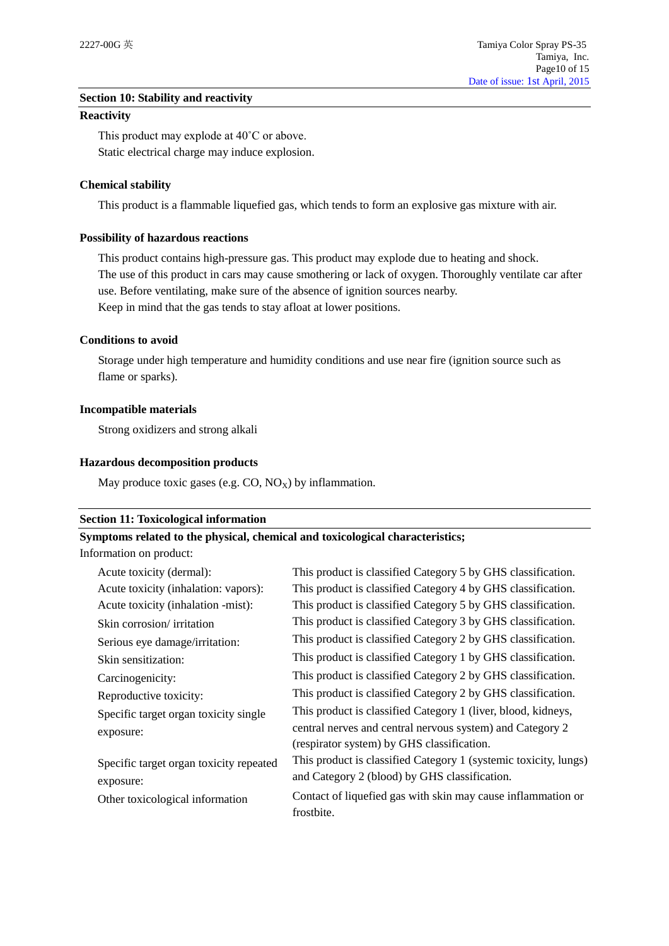### **Section 10: Stability and reactivity**

#### **Reactivity**

This product may explode at 40˚C or above. Static electrical charge may induce explosion.

### **Chemical stability**

This product is a flammable liquefied gas, which tends to form an explosive gas mixture with air.

### **Possibility of hazardous reactions**

This product contains high-pressure gas. This product may explode due to heating and shock. The use of this product in cars may cause smothering or lack of oxygen. Thoroughly ventilate car after use. Before ventilating, make sure of the absence of ignition sources nearby. Keep in mind that the gas tends to stay afloat at lower positions.

### **Conditions to avoid**

Storage under high temperature and humidity conditions and use near fire (ignition source such as flame or sparks).

### **Incompatible materials**

Strong oxidizers and strong alkali

### **Hazardous decomposition products**

May produce toxic gases (e.g.  $CO$ ,  $NO_X$ ) by inflammation.

### **Section 11: Toxicological information**

## **Symptoms related to the physical, chemical and toxicological characteristics;**

Information on product:

| Acute toxicity (dermal):                | This product is classified Category 5 by GHS classification.     |
|-----------------------------------------|------------------------------------------------------------------|
| Acute toxicity (inhalation: vapors):    | This product is classified Category 4 by GHS classification.     |
| Acute toxicity (inhalation -mist):      | This product is classified Category 5 by GHS classification.     |
| Skin corrosion/ irritation              | This product is classified Category 3 by GHS classification.     |
| Serious eye damage/irritation:          | This product is classified Category 2 by GHS classification.     |
| Skin sensitization:                     | This product is classified Category 1 by GHS classification.     |
| Carcinogenicity:                        | This product is classified Category 2 by GHS classification.     |
| Reproductive toxicity:                  | This product is classified Category 2 by GHS classification.     |
| Specific target organ toxicity single   | This product is classified Category 1 (liver, blood, kidneys,    |
| exposure:                               | central nerves and central nervous system) and Category 2        |
|                                         | (respirator system) by GHS classification.                       |
| Specific target organ toxicity repeated | This product is classified Category 1 (systemic toxicity, lungs) |
| exposure:                               | and Category 2 (blood) by GHS classification.                    |
| Other toxicological information         | Contact of liquefied gas with skin may cause inflammation or     |
|                                         | frostbite.                                                       |
|                                         |                                                                  |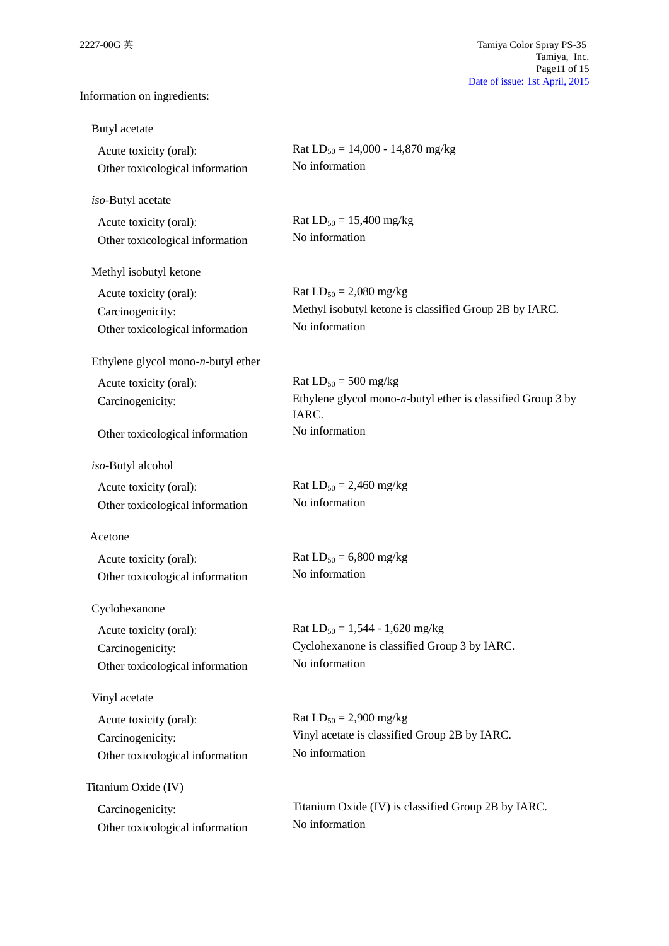Information on ingredients:

| Butyl acetate                                             |                                                                          |
|-----------------------------------------------------------|--------------------------------------------------------------------------|
| Acute toxicity (oral):<br>Other toxicological information | Rat $LD_{50} = 14,000 - 14,870$ mg/kg<br>No information                  |
| iso-Butyl acetate                                         |                                                                          |
| Acute toxicity (oral):<br>Other toxicological information | Rat $LD_{50} = 15,400$ mg/kg<br>No information                           |
| Methyl isobutyl ketone                                    |                                                                          |
| Acute toxicity (oral):                                    | Rat $LD_{50} = 2,080$ mg/kg                                              |
| Carcinogenicity:                                          | Methyl isobutyl ketone is classified Group 2B by IARC.                   |
| Other toxicological information                           | No information                                                           |
| Ethylene glycol mono- $n$ -butyl ether                    |                                                                          |
| Acute toxicity (oral):                                    | Rat $LD_{50} = 500$ mg/kg                                                |
| Carcinogenicity:                                          | Ethylene glycol mono- $n$ -butyl ether is classified Group 3 by<br>IARC. |
| Other toxicological information                           | No information                                                           |
| iso-Butyl alcohol                                         |                                                                          |
| Acute toxicity (oral):                                    | Rat $LD_{50} = 2,460$ mg/kg                                              |
| Other toxicological information                           | No information                                                           |
| Acetone                                                   |                                                                          |
| Acute toxicity (oral):                                    | Rat $LD_{50} = 6,800$ mg/kg                                              |
| Other toxicological information                           | No information                                                           |
| Cyclohexanone                                             |                                                                          |
| Acute toxicity (oral):                                    | Rat $LD_{50} = 1,544 - 1,620$ mg/kg                                      |
| Carcinogenicity:                                          | Cyclohexanone is classified Group 3 by IARC.                             |
| Other toxicological information                           | No information                                                           |
| Vinyl acetate                                             |                                                                          |
| Acute toxicity (oral):                                    | Rat $LD_{50} = 2,900$ mg/kg                                              |
| Carcinogenicity:                                          | Vinyl acetate is classified Group 2B by IARC.                            |
| Other toxicological information                           | No information                                                           |
| Titanium Oxide (IV)                                       |                                                                          |
| Carcinogenicity:                                          | Titanium Oxide (IV) is classified Group 2B by IARC.                      |
| Other toxicological information                           | No information                                                           |
|                                                           |                                                                          |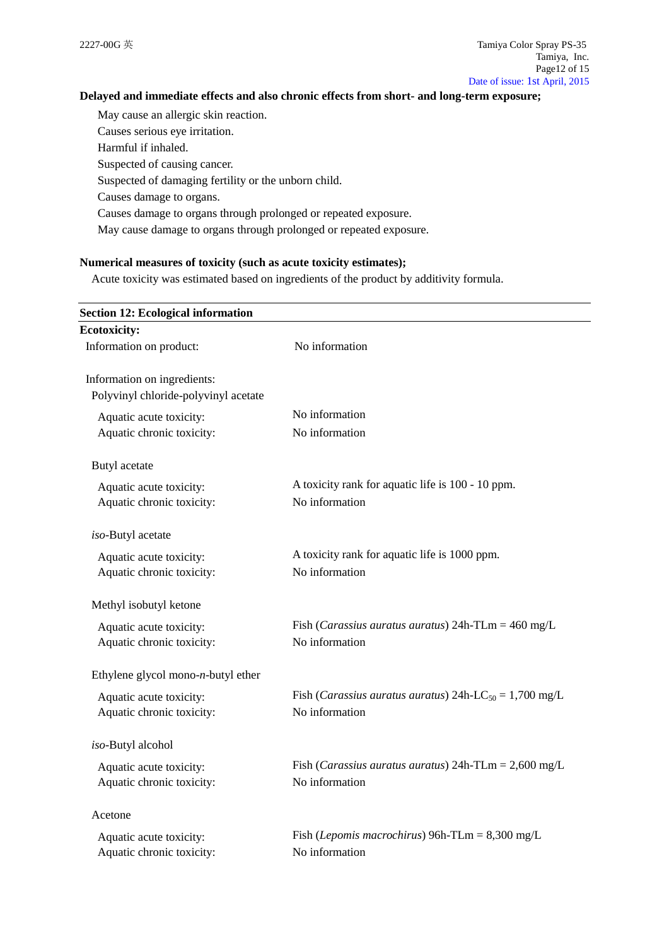## **Delayed and immediate effects and also chronic effects from short- and long-term exposure;**

May cause an allergic skin reaction. Causes serious eye irritation. Harmful if inhaled. Suspected of causing cancer.

Suspected of damaging fertility or the unborn child.

Causes damage to organs.

Causes damage to organs through prolonged or repeated exposure.

May cause damage to organs through prolonged or repeated exposure.

### **Numerical measures of toxicity (such as acute toxicity estimates);**

Acute toxicity was estimated based on ingredients of the product by additivity formula.

| <b>Section 12: Ecological information</b> |                                                                             |
|-------------------------------------------|-----------------------------------------------------------------------------|
| <b>Ecotoxicity:</b>                       |                                                                             |
| Information on product:                   | No information                                                              |
| Information on ingredients:               |                                                                             |
| Polyvinyl chloride-polyvinyl acetate      |                                                                             |
| Aquatic acute toxicity:                   | No information                                                              |
| Aquatic chronic toxicity:                 | No information                                                              |
| Butyl acetate                             |                                                                             |
| Aquatic acute toxicity:                   | A toxicity rank for aquatic life is 100 - 10 ppm.                           |
| Aquatic chronic toxicity:                 | No information                                                              |
| iso-Butyl acetate                         |                                                                             |
| Aquatic acute toxicity:                   | A toxicity rank for aquatic life is 1000 ppm.                               |
| Aquatic chronic toxicity:                 | No information                                                              |
| Methyl isobutyl ketone                    |                                                                             |
| Aquatic acute toxicity:                   | Fish ( <i>Carassius auratus auratus</i> ) $24h$ -TLm = $460$ mg/L           |
| Aquatic chronic toxicity:                 | No information                                                              |
| Ethylene glycol mono- $n$ -butyl ether    |                                                                             |
| Aquatic acute toxicity:                   | Fish ( <i>Carassius auratus auratus</i> ) 24h-LC <sub>50</sub> = 1,700 mg/L |
| Aquatic chronic toxicity:                 | No information                                                              |
| iso-Butyl alcohol                         |                                                                             |
| Aquatic acute toxicity:                   | Fish ( <i>Carassius auratus auratus</i> ) $24h$ -TLm = $2,600$ mg/L         |
| Aquatic chronic toxicity:                 | No information                                                              |
| Acetone                                   |                                                                             |
| Aquatic acute toxicity:                   | Fish ( <i>Lepomis macrochirus</i> ) 96h-TLm = $8,300$ mg/L                  |
| Aquatic chronic toxicity:                 | No information                                                              |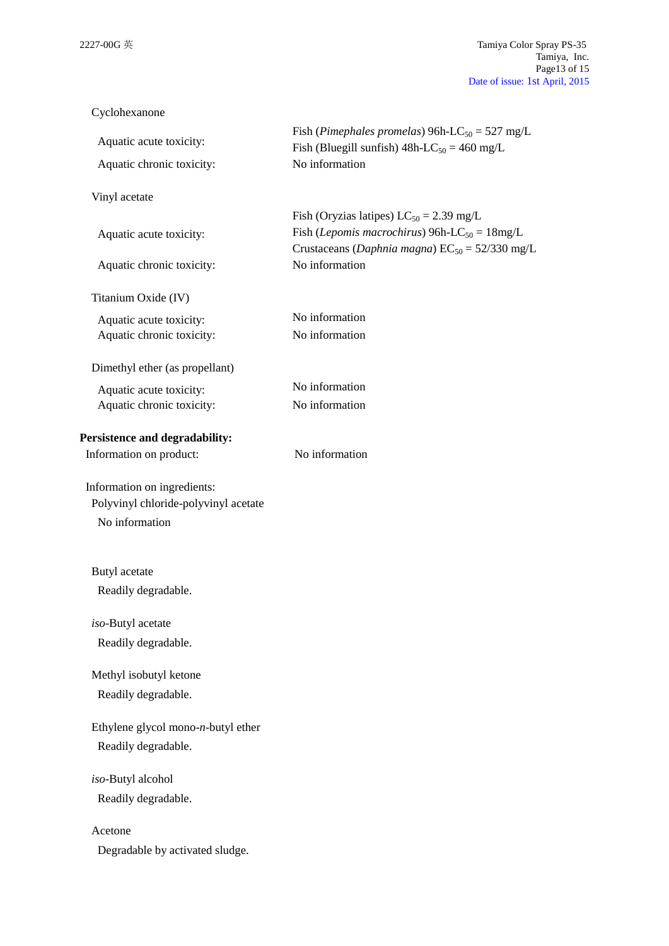| Cyclohexanone                                                                         |                                                                                                                                                                            |
|---------------------------------------------------------------------------------------|----------------------------------------------------------------------------------------------------------------------------------------------------------------------------|
| Aquatic acute toxicity:<br>Aquatic chronic toxicity:                                  | Fish (Pimephales promelas) 96h-LC <sub>50</sub> = 527 mg/L<br>Fish (Bluegill sunfish) $48h$ -LC <sub>50</sub> = 460 mg/L<br>No information                                 |
| Vinyl acetate                                                                         |                                                                                                                                                                            |
| Aquatic acute toxicity:                                                               | Fish (Oryzias latipes) $LC_{50} = 2.39$ mg/L<br>Fish ( <i>Lepomis macrochirus</i> ) 96h-LC <sub>50</sub> = $18mg/L$<br>Crustaceans (Daphnia magna) $EC_{50} = 52/330$ mg/L |
| Aquatic chronic toxicity:                                                             | No information                                                                                                                                                             |
| Titanium Oxide (IV)                                                                   |                                                                                                                                                                            |
| Aquatic acute toxicity:<br>Aquatic chronic toxicity:                                  | No information<br>No information                                                                                                                                           |
| Dimethyl ether (as propellant)                                                        |                                                                                                                                                                            |
| Aquatic acute toxicity:<br>Aquatic chronic toxicity:                                  | No information<br>No information                                                                                                                                           |
| Persistence and degradability:<br>Information on product:                             | No information                                                                                                                                                             |
| Information on ingredients:<br>Polyvinyl chloride-polyvinyl acetate<br>No information |                                                                                                                                                                            |
| Butyl acetate<br>Readily degradable.                                                  |                                                                                                                                                                            |
|                                                                                       |                                                                                                                                                                            |
| iso-Butyl acetate<br>Readily degradable.                                              |                                                                                                                                                                            |
| Methyl isobutyl ketone<br>Readily degradable.                                         |                                                                                                                                                                            |
| Ethylene glycol mono- $n$ -butyl ether<br>Readily degradable.                         |                                                                                                                                                                            |
| iso-Butyl alcohol<br>Readily degradable.                                              |                                                                                                                                                                            |
| Acetone<br>Degradable by activated sludge.                                            |                                                                                                                                                                            |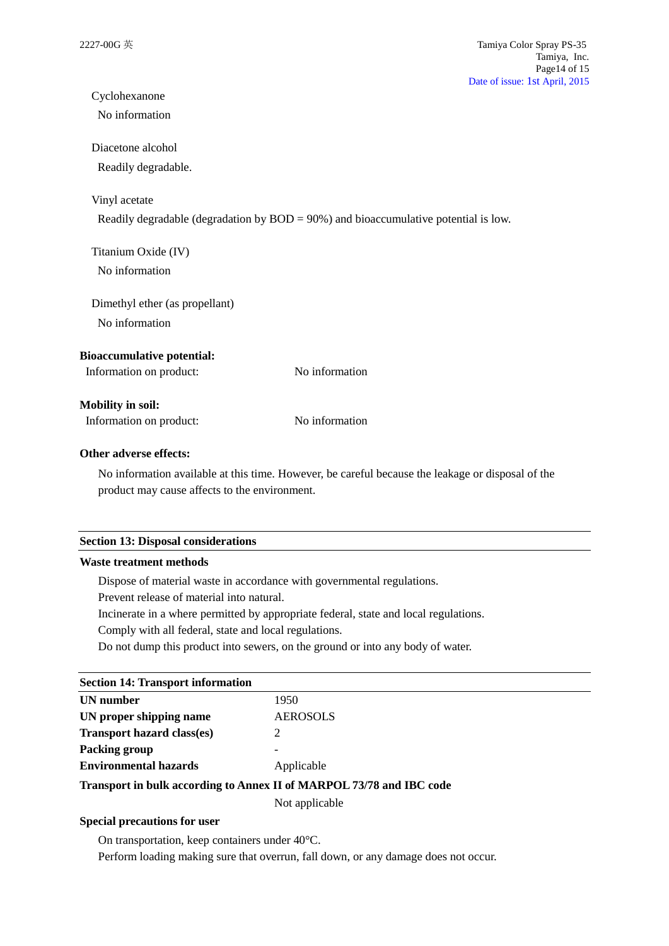## Cyclohexanone

No information

### Diacetone alcohol

Readily degradable.

### Vinyl acetate

Readily degradable (degradation by BOD = 90%) and bioaccumulative potential is low.

## Titanium Oxide (IV) No information

Dimethyl ether (as propellant) No information

### **Bioaccumulative potential:**

Information on product: No information

### **Mobility in soil:**

Information on product: No information

#### **Other adverse effects:**

No information available at this time. However, be careful because the leakage or disposal of the product may cause affects to the environment.

#### **Section 13: Disposal considerations**

### **Waste treatment methods**

Dispose of material waste in accordance with governmental regulations.

Prevent release of material into natural.

Incinerate in a where permitted by appropriate federal, state and local regulations.

Comply with all federal, state and local regulations.

Do not dump this product into sewers, on the ground or into any body of water.

## **Section 14: Transport information**

| UN number                                                            | 1950            |  |
|----------------------------------------------------------------------|-----------------|--|
| UN proper shipping name                                              | <b>AEROSOLS</b> |  |
| <b>Transport hazard class(es)</b>                                    |                 |  |
| Packing group                                                        |                 |  |
| <b>Environmental hazards</b>                                         | Applicable      |  |
| Transport in bulk according to Annex II of MARPOL 73/78 and IBC code |                 |  |

Not applicable

### **Special precautions for user**

On transportation, keep containers under 40°C.

Perform loading making sure that overrun, fall down, or any damage does not occur.